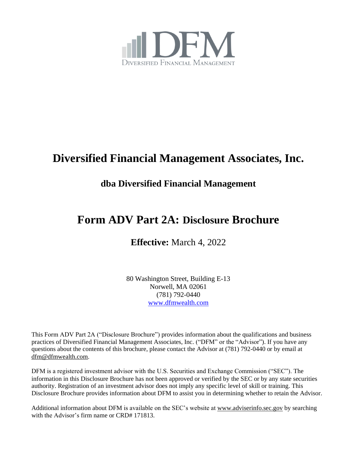

# **Diversified Financial Management Associates, Inc.**

## **dba Diversified Financial Management**

## **Form ADV Part 2A: Disclosure Brochure**

**Effective:** March 4, 2022

80 Washington Street, Building E-13 Norwell, MA 02061 (781) 792-0440 [www.dfmwealth.com](http://www.dfmwealth.com/)

This Form ADV Part 2A ("Disclosure Brochure") provides information about the qualifications and business practices of Diversified Financial Management Associates, Inc. ("DFM" or the "Advisor"). If you have any questions about the contents of this brochure, please contact the Advisor at (781) 792-0440 or by email at [dfm@dfmwealth.com.](mailto:dfm@dfmwealth.com)

DFM is a registered investment advisor with the U.S. Securities and Exchange Commission ("SEC"). The information in this Disclosure Brochure has not been approved or verified by the SEC or by any state securities authority. Registration of an investment advisor does not imply any specific level of skill or training. This Disclosure Brochure provides information about DFM to assist you in determining whether to retain the Advisor.

Additional information about DFM is available on the SEC's website a[t www.adviserinfo.sec.gov](https://adviserinfo.sec.gov/) by searching with the Advisor's firm name or CRD# 171813.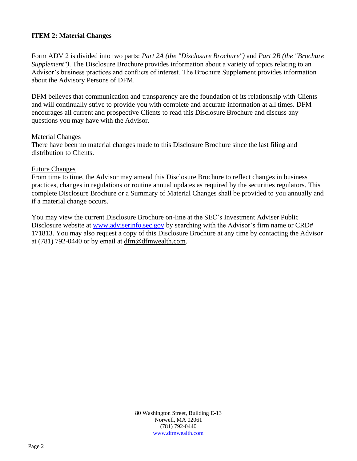## **ITEM 2: Material Changes**

Form ADV 2 is divided into two parts: *Part 2A (the "Disclosure Brochure")* and *Part 2B (the "Brochure Supplement")*. The Disclosure Brochure provides information about a variety of topics relating to an Advisor's business practices and conflicts of interest. The Brochure Supplement provides information about the Advisory Persons of DFM.

DFM believes that communication and transparency are the foundation of its relationship with Clients and will continually strive to provide you with complete and accurate information at all times. DFM encourages all current and prospective Clients to read this Disclosure Brochure and discuss any questions you may have with the Advisor.

#### Material Changes

There have been no material changes made to this Disclosure Brochure since the last filing and distribution to Clients.

#### Future Changes

From time to time, the Advisor may amend this Disclosure Brochure to reflect changes in business practices, changes in regulations or routine annual updates as required by the securities regulators. This complete Disclosure Brochure or a Summary of Material Changes shall be provided to you annually and if a material change occurs.

You may view the current Disclosure Brochure on-line at the SEC's Investment Adviser Public Disclosure website at [www.adviserinfo.sec.gov](http://www.adviserinfo.sec.gov/) by searching with the Advisor's firm name or CRD# 171813. You may also request a copy of this Disclosure Brochure at any time by contacting the Advisor at (781) 792-0440 or by email at [dfm@dfmwealth.com.](mailto:dfm@dfmwealth.com)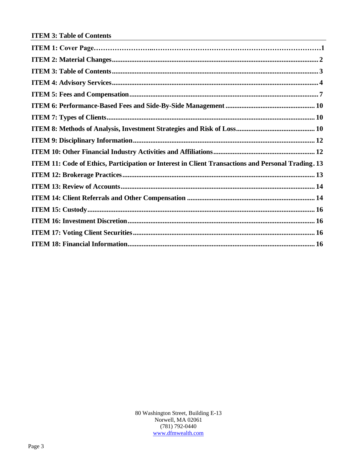| ITEM 11: Code of Ethics, Participation or Interest in Client Transactions and Personal Trading. 13 |
|----------------------------------------------------------------------------------------------------|
|                                                                                                    |
|                                                                                                    |
|                                                                                                    |
|                                                                                                    |
|                                                                                                    |
|                                                                                                    |
|                                                                                                    |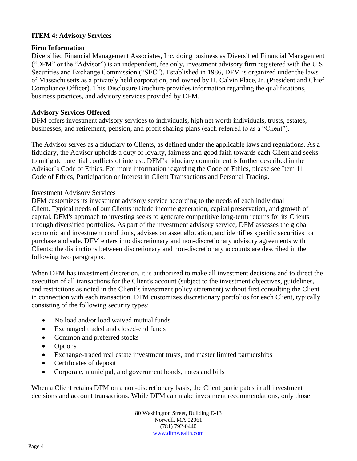## **ITEM 4: Advisory Services**

## **Firm Information**

Diversified Financial Management Associates, Inc. doing business as Diversified Financial Management ("DFM" or the "Advisor") is an independent, fee only, investment advisory firm registered with the U.S Securities and Exchange Commission ("SEC"). Established in 1986, DFM is organized under the laws of Massachusetts as a privately held corporation, and owned by H. Calvin Place, Jr. (President and Chief Compliance Officer). This Disclosure Brochure provides information regarding the qualifications, business practices, and advisory services provided by DFM.

## **Advisory Services Offered**

DFM offers investment advisory services to individuals, high net worth individuals, trusts, estates, businesses, and retirement, pension, and profit sharing plans (each referred to as a "Client").

The Advisor serves as a fiduciary to Clients, as defined under the applicable laws and regulations. As a fiduciary, the Advisor upholds a duty of loyalty, fairness and good faith towards each Client and seeks to mitigate potential conflicts of interest. DFM's fiduciary commitment is further described in the Advisor's Code of Ethics. For more information regarding the Code of Ethics, please see Item 11 – Code of Ethics, Participation or Interest in Client Transactions and Personal Trading.

#### Investment Advisory Services

DFM customizes its investment advisory service according to the needs of each individual Client. Typical needs of our Clients include income generation, capital preservation, and growth of capital. DFM's approach to investing seeks to generate competitive long-term returns for its Clients through diversified portfolios. As part of the investment advisory service, DFM assesses the global economic and investment conditions, advises on asset allocation, and identifies specific securities for purchase and sale. DFM enters into discretionary and non-discretionary advisory agreements with Clients; the distinctions between discretionary and non-discretionary accounts are described in the following two paragraphs.

When DFM has investment discretion, it is authorized to make all investment decisions and to direct the execution of all transactions for the Client's account (subject to the investment objectives, guidelines, and restrictions as noted in the Client's investment policy statement) without first consulting the Client in connection with each transaction. DFM customizes discretionary portfolios for each Client, typically consisting of the following security types:

- No load and/or load waived mutual funds
- Exchanged traded and closed-end funds
- Common and preferred stocks
- Options
- Exchange-traded real estate investment trusts, and master limited partnerships
- Certificates of deposit
- Corporate, municipal, and government bonds, notes and bills

When a Client retains DFM on a non-discretionary basis, the Client participates in all investment decisions and account transactions. While DFM can make investment recommendations, only those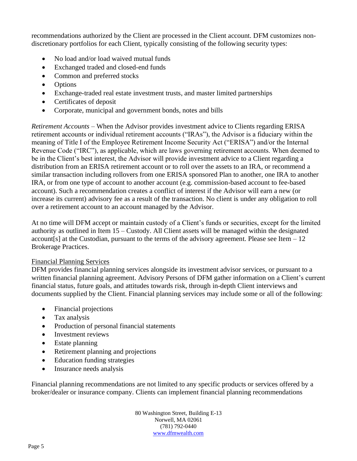recommendations authorized by the Client are processed in the Client account. DFM customizes nondiscretionary portfolios for each Client, typically consisting of the following security types:

- No load and/or load waived mutual funds
- Exchanged traded and closed-end funds
- Common and preferred stocks
- Options
- Exchange-traded real estate investment trusts, and master limited partnerships
- Certificates of deposit
- Corporate, municipal and government bonds, notes and bills

*Retirement Accounts* – When the Advisor provides investment advice to Clients regarding ERISA retirement accounts or individual retirement accounts ("IRAs"), the Advisor is a fiduciary within the meaning of Title I of the Employee Retirement Income Security Act ("ERISA") and/or the Internal Revenue Code ("IRC"), as applicable, which are laws governing retirement accounts. When deemed to be in the Client's best interest, the Advisor will provide investment advice to a Client regarding a distribution from an ERISA retirement account or to roll over the assets to an IRA, or recommend a similar transaction including rollovers from one ERISA sponsored Plan to another, one IRA to another IRA, or from one type of account to another account (e.g. commission-based account to fee-based account). Such a recommendation creates a conflict of interest if the Advisor will earn a new (or increase its current) advisory fee as a result of the transaction. No client is under any obligation to roll over a retirement account to an account managed by the Advisor.

At no time will DFM accept or maintain custody of a Client's funds or securities, except for the limited authority as outlined in Item 15 – Custody. All Client assets will be managed within the designated account  $[s]$  at the Custodian, pursuant to the terms of the advisory agreement. Please see Item  $-12$ Brokerage Practices.

## Financial Planning Services

DFM provides financial planning services alongside its investment advisor services, or pursuant to a written financial planning agreement. Advisory Persons of DFM gather information on a Client's current financial status, future goals, and attitudes towards risk, through in-depth Client interviews and documents supplied by the Client. Financial planning services may include some or all of the following:

- Financial projections
- Tax analysis
- Production of personal financial statements
- Investment reviews
- Estate planning
- Retirement planning and projections
- Education funding strategies
- Insurance needs analysis

Financial planning recommendations are not limited to any specific products or services offered by a broker/dealer or insurance company. Clients can implement financial planning recommendations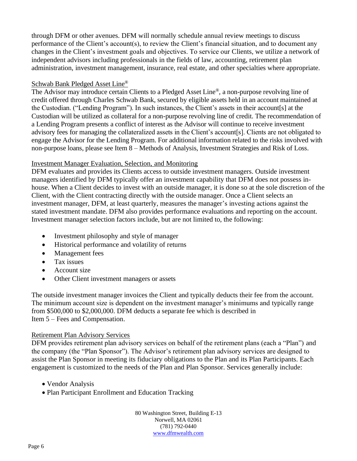through DFM or other avenues. DFM will normally schedule annual review meetings to discuss performance of the Client's account(s), to review the Client's financial situation, and to document any changes in the Client's investment goals and objectives. To service our Clients, we utilize a network of independent advisors including professionals in the fields of law, accounting, retirement plan administration, investment management, insurance, real estate, and other specialties where appropriate.

## Schwab Bank Pledged Asset Line®

The Advisor may introduce certain Clients to a Pledged Asset Line®, a non-purpose revolving line of credit offered through Charles Schwab Bank, secured by eligible assets held in an account maintained at the Custodian. ("Lending Program"). In such instances, the Client's assets in their account[s] at the Custodian will be utilized as collateral for a non-purpose revolving line of credit. The recommendation of a Lending Program presents a conflict of interest as the Advisor will continue to receive investment advisory fees for managing the collateralized assets in the Client's account[s]. Clients are not obligated to engage the Advisor for the Lending Program. For additional information related to the risks involved with non-purpose loans, please see Item 8 – Methods of Analysis, Investment Strategies and Risk of Loss.

## Investment Manager Evaluation, Selection, and Monitoring

DFM evaluates and provides its Clients access to outside investment managers. Outside investment managers identified by DFM typically offer an investment capability that DFM does not possess inhouse. When a Client decides to invest with an outside manager, it is done so at the sole discretion of the Client, with the Client contracting directly with the outside manager. Once a Client selects an investment manager, DFM, at least quarterly, measures the manager's investing actions against the stated investment mandate. DFM also provides performance evaluations and reporting on the account. Investment manager selection factors include, but are not limited to, the following:

- Investment philosophy and style of manager
- Historical performance and volatility of returns
- Management fees
- Tax issues
- Account size
- Other Client investment managers or assets

The outside investment manager invoices the Client and typically deducts their fee from the account. The minimum account size is dependent on the investment manager's minimums and typically range from \$500,000 to \$2,000,000. DFM deducts a separate fee which is described in Item 5 – Fees and Compensation.

#### Retirement Plan Advisory Services

DFM provides retirement plan advisory services on behalf of the retirement plans (each a "Plan") and the company (the "Plan Sponsor"). The Advisor's retirement plan advisory services are designed to assist the Plan Sponsor in meeting its fiduciary obligations to the Plan and its Plan Participants. Each engagement is customized to the needs of the Plan and Plan Sponsor. Services generally include:

- Vendor Analysis
- Plan Participant Enrollment and Education Tracking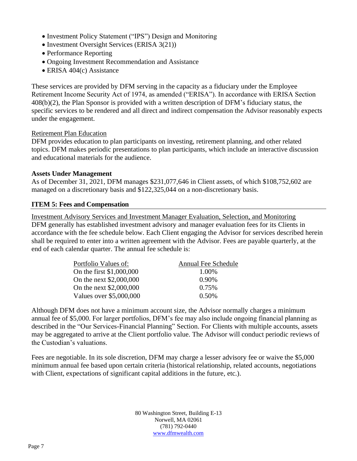- Investment Policy Statement ("IPS") Design and Monitoring
- Investment Oversight Services (ERISA 3(21))
- Performance Reporting
- Ongoing Investment Recommendation and Assistance
- ERISA 404(c) Assistance

These services are provided by DFM serving in the capacity as a fiduciary under the Employee Retirement Income Security Act of 1974, as amended ("ERISA"). In accordance with ERISA Section 408(b)(2), the Plan Sponsor is provided with a written description of DFM's fiduciary status, the specific services to be rendered and all direct and indirect compensation the Advisor reasonably expects under the engagement.

## Retirement Plan Education

DFM provides education to plan participants on investing, retirement planning, and other related topics. DFM makes periodic presentations to plan participants, which include an interactive discussion and educational materials for the audience.

#### **Assets Under Management**

As of December 31, 2021, DFM manages \$231,077,646 in Client assets, of which \$108,752,602 are managed on a discretionary basis and \$122,325,044 on a non-discretionary basis.

## **ITEM 5: Fees and Compensation**

Investment Advisory Services and Investment Manager Evaluation, Selection, and Monitoring DFM generally has established investment advisory and manager evaluation fees for its Clients in accordance with the fee schedule below. Each Client engaging the Advisor for services described herein shall be required to enter into a written agreement with the Advisor. Fees are payable quarterly, at the end of each calendar quarter. The annual fee schedule is:

| Portfolio Values of:     | <b>Annual Fee Schedule</b> |
|--------------------------|----------------------------|
| On the first \$1,000,000 | 1.00%                      |
| On the next \$2,000,000  | 0.90%                      |
| On the next \$2,000,000  | 0.75%                      |
| Values over \$5,000,000  | $0.50\%$                   |

Although DFM does not have a minimum account size, the Advisor normally charges a minimum annual fee of \$5,000. For larger portfolios, DFM's fee may also include ongoing financial planning as described in the "Our Services-Financial Planning" Section. For Clients with multiple accounts, assets may be aggregated to arrive at the Client portfolio value. The Advisor will conduct periodic reviews of the Custodian's valuations.

Fees are negotiable. In its sole discretion, DFM may charge a lesser advisory fee or waive the \$5,000 minimum annual fee based upon certain criteria (historical relationship, related accounts, negotiations with Client, expectations of significant capital additions in the future, etc.).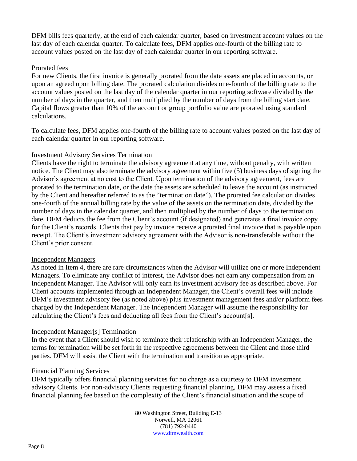DFM bills fees quarterly, at the end of each calendar quarter, based on investment account values on the last day of each calendar quarter. To calculate fees, DFM applies one-fourth of the billing rate to account values posted on the last day of each calendar quarter in our reporting software.

## Prorated fees

For new Clients, the first invoice is generally prorated from the date assets are placed in accounts, or upon an agreed upon billing date. The prorated calculation divides one-fourth of the billing rate to the account values posted on the last day of the calendar quarter in our reporting software divided by the number of days in the quarter, and then multiplied by the number of days from the billing start date. Capital flows greater than 10% of the account or group portfolio value are prorated using standard calculations.

To calculate fees, DFM applies one-fourth of the billing rate to account values posted on the last day of each calendar quarter in our reporting software.

## Investment Advisory Services Termination

Clients have the right to terminate the advisory agreement at any time, without penalty, with written notice. The Client may also terminate the advisory agreement within five (5) business days of signing the Advisor's agreement at no cost to the Client. Upon termination of the advisory agreement, fees are prorated to the termination date, or the date the assets are scheduled to leave the account (as instructed by the Client and hereafter referred to as the "termination date"). The prorated fee calculation divides one-fourth of the annual billing rate by the value of the assets on the termination date, divided by the number of days in the calendar quarter, and then multiplied by the number of days to the termination date. DFM deducts the fee from the Client's account (if designated) and generates a final invoice copy for the Client's records. Clients that pay by invoice receive a prorated final invoice that is payable upon receipt. The Client's investment advisory agreement with the Advisor is non-transferable without the Client's prior consent.

#### Independent Managers

As noted in Item 4, there are rare circumstances when the Advisor will utilize one or more Independent Managers. To eliminate any conflict of interest, the Advisor does not earn any compensation from an Independent Manager. The Advisor will only earn its investment advisory fee as described above. For Client accounts implemented through an Independent Manager, the Client's overall fees will include DFM's investment advisory fee (as noted above) plus investment management fees and/or platform fees charged by the Independent Manager. The Independent Manager will assume the responsibility for calculating the Client's fees and deducting all fees from the Client's account[s].

#### Independent Manager[s] Termination

In the event that a Client should wish to terminate their relationship with an Independent Manager, the terms for termination will be set forth in the respective agreements between the Client and those third parties. DFM will assist the Client with the termination and transition as appropriate.

#### Financial Planning Services

DFM typically offers financial planning services for no charge as a courtesy to DFM investment advisory Clients. For non-advisory Clients requesting financial planning, DFM may assess a fixed financial planning fee based on the complexity of the Client's financial situation and the scope of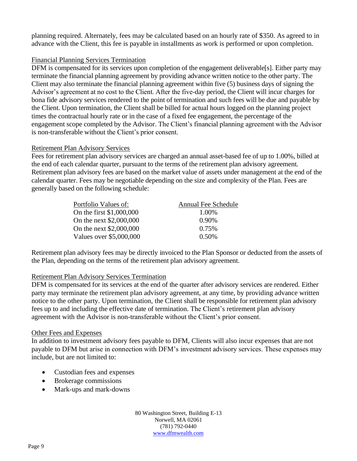planning required. Alternately, fees may be calculated based on an hourly rate of \$350. As agreed to in advance with the Client, this fee is payable in installments as work is performed or upon completion.

## Financial Planning Services Termination

DFM is compensated for its services upon completion of the engagement deliverable<sup>[s]</sup>. Either party may terminate the financial planning agreement by providing advance written notice to the other party. The Client may also terminate the financial planning agreement within five (5) business days of signing the Advisor's agreement at no cost to the Client. After the five-day period, the Client will incur charges for bona fide advisory services rendered to the point of termination and such fees will be due and payable by the Client. Upon termination, the Client shall be billed for actual hours logged on the planning project times the contractual hourly rate or in the case of a fixed fee engagement, the percentage of the engagement scope completed by the Advisor. The Client's financial planning agreement with the Advisor is non-transferable without the Client's prior consent.

#### Retirement Plan Advisory Services

Fees for retirement plan advisory services are charged an annual asset-based fee of up to 1.00%, billed at the end of each calendar quarter, pursuant to the terms of the retirement plan advisory agreement. Retirement plan advisory fees are based on the market value of assets under management at the end of the calendar quarter. Fees may be negotiable depending on the size and complexity of the Plan. Fees are generally based on the following schedule:

| Portfolio Values of:     | Annual Fee Schedule |
|--------------------------|---------------------|
| On the first \$1,000,000 | 1.00%               |
| On the next \$2,000,000  | 0.90%               |
| On the next \$2,000,000  | 0.75%               |
| Values over \$5,000,000  | 0.50%               |

Retirement plan advisory fees may be directly invoiced to the Plan Sponsor or deducted from the assets of the Plan, depending on the terms of the retirement plan advisory agreement.

## Retirement Plan Advisory Services Termination

DFM is compensated for its services at the end of the quarter after advisory services are rendered. Either party may terminate the retirement plan advisory agreement, at any time, by providing advance written notice to the other party. Upon termination, the Client shall be responsible for retirement plan advisory fees up to and including the effective date of termination. The Client's retirement plan advisory agreement with the Advisor is non-transferable without the Client's prior consent.

#### Other Fees and Expenses

In addition to investment advisory fees payable to DFM, Clients will also incur expenses that are not payable to DFM but arise in connection with DFM's investment advisory services. These expenses may include, but are not limited to:

- Custodian fees and expenses
- Brokerage commissions
- Mark-ups and mark-downs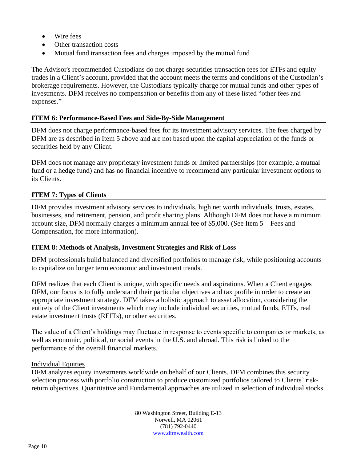- Wire fees
- Other transaction costs
- Mutual fund transaction fees and charges imposed by the mutual fund

The Advisor's recommended Custodians do not charge securities transaction fees for ETFs and equity trades in a Client's account, provided that the account meets the terms and conditions of the Custodian's brokerage requirements. However, the Custodians typically charge for mutual funds and other types of investments. DFM receives no compensation or benefits from any of these listed "other fees and expenses."

## **ITEM 6: Performance-Based Fees and Side-By-Side Management**

DFM does not charge performance-based fees for its investment advisory services. The fees charged by DFM are as described in Item 5 above and are not based upon the capital appreciation of the funds or securities held by any Client.

DFM does not manage any proprietary investment funds or limited partnerships (for example, a mutual fund or a hedge fund) and has no financial incentive to recommend any particular investment options to its Clients.

## **ITEM 7: Types of Clients**

DFM provides investment advisory services to individuals, high net worth individuals, trusts, estates, businesses, and retirement, pension, and profit sharing plans. Although DFM does not have a minimum account size, DFM normally charges a minimum annual fee of \$5,000. (See Item 5 – Fees and Compensation, for more information).

#### **ITEM 8: Methods of Analysis, Investment Strategies and Risk of Loss**

DFM professionals build balanced and diversified portfolios to manage risk, while positioning accounts to capitalize on longer term economic and investment trends.

DFM realizes that each Client is unique, with specific needs and aspirations. When a Client engages DFM, our focus is to fully understand their particular objectives and tax profile in order to create an appropriate investment strategy. DFM takes a holistic approach to asset allocation, considering the entirety of the Client investments which may include individual securities, mutual funds, ETFs, real estate investment trusts (REITs), or other securities.

The value of a Client's holdings may fluctuate in response to events specific to companies or markets, as well as economic, political, or social events in the U.S. and abroad. This risk is linked to the performance of the overall financial markets.

#### Individual Equities

DFM analyzes equity investments worldwide on behalf of our Clients. DFM combines this security selection process with portfolio construction to produce customized portfolios tailored to Clients' riskreturn objectives. Quantitative and Fundamental approaches are utilized in selection of individual stocks.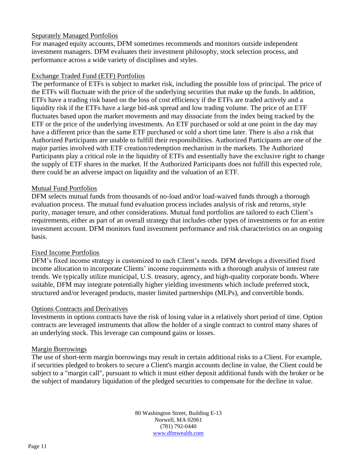## Separately Managed Portfolios

For managed equity accounts, DFM sometimes recommends and monitors outside independent investment managers. DFM evaluates their investment philosophy, stock selection process, and performance across a wide variety of disciplines and styles.

## Exchange Traded Fund (ETF) Portfolios

The performance of ETFs is subject to market risk, including the possible loss of principal. The price of the ETFs will fluctuate with the price of the underlying securities that make up the funds. In addition, ETFs have a trading risk based on the loss of cost efficiency if the ETFs are traded actively and a liquidity risk if the ETFs have a large bid-ask spread and low trading volume. The price of an ETF fluctuates based upon the market movements and may dissociate from the index being tracked by the ETF or the price of the underlying investments. An ETF purchased or sold at one point in the day may have a different price than the same ETF purchased or sold a short time later. There is also a risk that Authorized Participants are unable to fulfill their responsibilities. Authorized Participants are one of the major parties involved with ETF creation/redemption mechanism in the markets. The Authorized Participants play a critical role in the liquidity of ETFs and essentially have the exclusive right to change the supply of ETF shares in the market. If the Authorized Participants does not fulfill this expected role, there could be an adverse impact on liquidity and the valuation of an ETF.

## Mutual Fund Portfolios

DFM selects mutual funds from thousands of no-load and/or load-waived funds through a thorough evaluation process. The mutual fund evaluation process includes analysis of risk and returns, style purity, manager tenure, and other considerations. Mutual fund portfolios are tailored to each Client's requirements, either as part of an overall strategy that includes other types of investments or for an entire investment account. DFM monitors fund investment performance and risk characteristics on an ongoing basis.

## Fixed Income Portfolios

DFM's fixed income strategy is customized to each Client's needs. DFM develops a diversified fixed income allocation to incorporate Clients' income requirements with a thorough analysis of interest rate trends. We typically utilize municipal, U.S. treasury, agency, and high-quality corporate bonds. Where suitable, DFM may integrate potentially higher yielding investments which include preferred stock, structured and/or leveraged products, master limited partnerships (MLPs), and convertible bonds.

#### Options Contracts and Derivatives

Investments in options contracts have the risk of losing value in a relatively short period of time. Option contracts are leveraged instruments that allow the holder of a single contract to control many shares of an underlying stock. This leverage can compound gains or losses.

#### Margin Borrowings

The use of short-term margin borrowings may result in certain additional risks to a Client. For example, if securities pledged to brokers to secure a Client's margin accounts decline in value, the Client could be subject to a "margin call", pursuant to which it must either deposit additional funds with the broker or be the subject of mandatory liquidation of the pledged securities to compensate for the decline in value.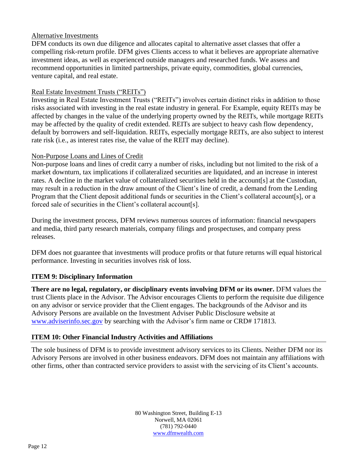## Alternative Investments

DFM conducts its own due diligence and allocates capital to alternative asset classes that offer a compelling risk-return profile. DFM gives Clients access to what it believes are appropriate alternative investment ideas, as well as experienced outside managers and researched funds. We assess and recommend opportunities in limited partnerships, private equity, commodities, global currencies, venture capital, and real estate.

## Real Estate Investment Trusts ("REITs")

Investing in Real Estate Investment Trusts ("REITs") involves certain distinct risks in addition to those risks associated with investing in the real estate industry in general. For Example, equity REITs may be affected by changes in the value of the underlying property owned by the REITs, while mortgage REITs may be affected by the quality of credit extended. REITs are subject to heavy cash flow dependency, default by borrowers and self-liquidation. REITs, especially mortgage REITs, are also subject to interest rate risk (i.e., as interest rates rise, the value of the REIT may decline).

## Non-Purpose Loans and Lines of Credit

Non-purpose loans and lines of credit carry a number of risks, including but not limited to the risk of a market downturn, tax implications if collateralized securities are liquidated, and an increase in interest rates. A decline in the market value of collateralized securities held in the account[s] at the Custodian, may result in a reduction in the draw amount of the Client's line of credit, a demand from the Lending Program that the Client deposit additional funds or securities in the Client's collateral account[s], or a forced sale of securities in the Client's collateral account[s].

During the investment process, DFM reviews numerous sources of information: financial newspapers and media, third party research materials, company filings and prospectuses, and company press releases.

DFM does not guarantee that investments will produce profits or that future returns will equal historical performance. Investing in securities involves risk of loss.

## **ITEM 9: Disciplinary Information**

**There are no legal, regulatory, or disciplinary events involving DFM or its owner.** DFM values the trust Clients place in the Advisor. The Advisor encourages Clients to perform the requisite due diligence on any advisor or service provider that the Client engages. The backgrounds of the Advisor and its Advisory Persons are available on the Investment Adviser Public Disclosure website at [www.adviserinfo.sec.gov](http://www.adviserinfo.sec.gov/) by searching with the Advisor's firm name or CRD# 171813.

## **ITEM 10: Other Financial Industry Activities and Affiliations**

The sole business of DFM is to provide investment advisory services to its Clients. Neither DFM nor its Advisory Persons are involved in other business endeavors. DFM does not maintain any affiliations with other firms, other than contracted service providers to assist with the servicing of its Client's accounts.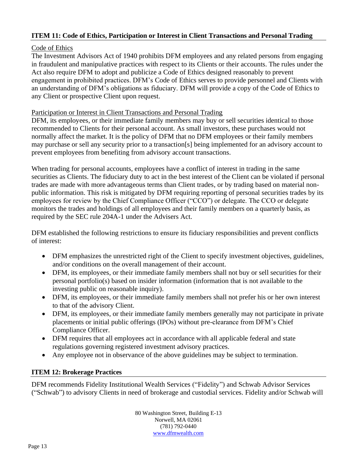## **ITEM 11: Code of Ethics, Participation or Interest in Client Transactions and Personal Trading**

## Code of Ethics

The Investment Advisors Act of 1940 prohibits DFM employees and any related persons from engaging in fraudulent and manipulative practices with respect to its Clients or their accounts. The rules under the Act also require DFM to adopt and publicize a Code of Ethics designed reasonably to prevent engagement in prohibited practices. DFM's Code of Ethics serves to provide personnel and Clients with an understanding of DFM's obligations as fiduciary. DFM will provide a copy of the Code of Ethics to any Client or prospective Client upon request.

## Participation or Interest in Client Transactions and Personal Trading

DFM, its employees, or their immediate family members may buy or sell securities identical to those recommended to Clients for their personal account. As small investors, these purchases would not normally affect the market. It is the policy of DFM that no DFM employees or their family members may purchase or sell any security prior to a transaction[s] being implemented for an advisory account to prevent employees from benefiting from advisory account transactions.

When trading for personal accounts, employees have a conflict of interest in trading in the same securities as Clients. The fiduciary duty to act in the best interest of the Client can be violated if personal trades are made with more advantageous terms than Client trades, or by trading based on material nonpublic information. This risk is mitigated by DFM requiring reporting of personal securities trades by its employees for review by the Chief Compliance Officer ("CCO") or delegate. The CCO or delegate monitors the trades and holdings of all employees and their family members on a quarterly basis, as required by the SEC rule 204A-1 under the Advisers Act.

DFM established the following restrictions to ensure its fiduciary responsibilities and prevent conflicts of interest:

- DFM emphasizes the unrestricted right of the Client to specify investment objectives, guidelines, and/or conditions on the overall management of their account.
- DFM, its employees, or their immediate family members shall not buy or sell securities for their personal portfolio(s) based on insider information (information that is not available to the investing public on reasonable inquiry).
- DFM, its employees, or their immediate family members shall not prefer his or her own interest to that of the advisory Client.
- DFM, its employees, or their immediate family members generally may not participate in private placements or initial public offerings (IPOs) without pre-clearance from DFM's Chief Compliance Officer.
- DFM requires that all employees act in accordance with all applicable federal and state regulations governing registered investment advisory practices.
- Any employee not in observance of the above guidelines may be subject to termination.

## **ITEM 12: Brokerage Practices**

DFM recommends Fidelity Institutional Wealth Services ("Fidelity") and Schwab Advisor Services ("Schwab") to advisory Clients in need of brokerage and custodial services. Fidelity and/or Schwab will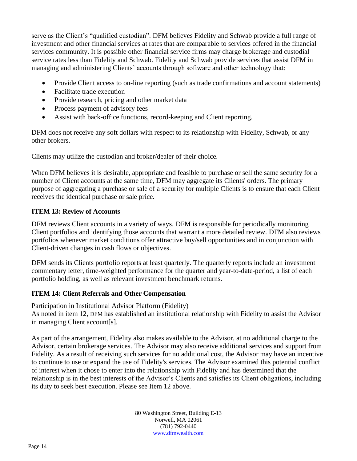serve as the Client's "qualified custodian". DFM believes Fidelity and Schwab provide a full range of investment and other financial services at rates that are comparable to services offered in the financial services community. It is possible other financial service firms may charge brokerage and custodial service rates less than Fidelity and Schwab. Fidelity and Schwab provide services that assist DFM in managing and administering Clients' accounts through software and other technology that:

- Provide Client access to on-line reporting (such as trade confirmations and account statements)
- Facilitate trade execution
- Provide research, pricing and other market data
- Process payment of advisory fees
- Assist with back-office functions, record-keeping and Client reporting.

DFM does not receive any soft dollars with respect to its relationship with Fidelity, Schwab, or any other brokers.

Clients may utilize the custodian and broker/dealer of their choice.

When DFM believes it is desirable, appropriate and feasible to purchase or sell the same security for a number of Client accounts at the same time, DFM may aggregate its Clients' orders. The primary purpose of aggregating a purchase or sale of a security for multiple Clients is to ensure that each Client receives the identical purchase or sale price.

## **ITEM 13: Review of Accounts**

DFM reviews Client accounts in a variety of ways. DFM is responsible for periodically monitoring Client portfolios and identifying those accounts that warrant a more detailed review. DFM also reviews portfolios whenever market conditions offer attractive buy/sell opportunities and in conjunction with Client-driven changes in cash flows or objectives.

DFM sends its Clients portfolio reports at least quarterly. The quarterly reports include an investment commentary letter, time-weighted performance for the quarter and year-to-date-period, a list of each portfolio holding, as well as relevant investment benchmark returns.

## **ITEM 14: Client Referrals and Other Compensation**

#### Participation in Institutional Advisor Platform (Fidelity)

As noted in item 12, DFM has established an institutional relationship with Fidelity to assist the Advisor in managing Client account[s].

As part of the arrangement, Fidelity also makes available to the Advisor, at no additional charge to the Advisor, certain brokerage services. The Advisor may also receive additional services and support from Fidelity. As a result of receiving such services for no additional cost, the Advisor may have an incentive to continue to use or expand the use of Fidelity's services. The Advisor examined this potential conflict of interest when it chose to enter into the relationship with Fidelity and has determined that the relationship is in the best interests of the Advisor's Clients and satisfies its Client obligations, including its duty to seek best execution. Please see Item 12 above.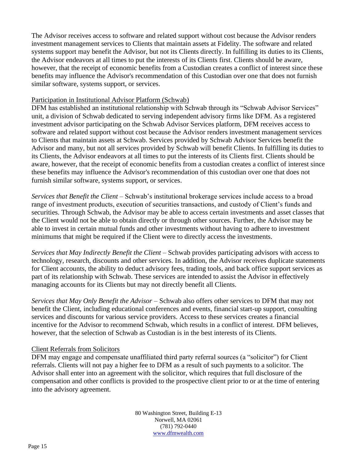The Advisor receives access to software and related support without cost because the Advisor renders investment management services to Clients that maintain assets at Fidelity. The software and related systems support may benefit the Advisor, but not its Clients directly. In fulfilling its duties to its Clients, the Advisor endeavors at all times to put the interests of its Clients first. Clients should be aware, however, that the receipt of economic benefits from a Custodian creates a conflict of interest since these benefits may influence the Advisor's recommendation of this Custodian over one that does not furnish similar software, systems support, or services.

#### Participation in Institutional Advisor Platform (Schwab)

DFM has established an institutional relationship with Schwab through its "Schwab Advisor Services" unit, a division of Schwab dedicated to serving independent advisory firms like DFM. As a registered investment advisor participating on the Schwab Advisor Services platform, DFM receives access to software and related support without cost because the Advisor renders investment management services to Clients that maintain assets at Schwab. Services provided by Schwab Advisor Services benefit the Advisor and many, but not all services provided by Schwab will benefit Clients. In fulfilling its duties to its Clients, the Advisor endeavors at all times to put the interests of its Clients first. Clients should be aware, however, that the receipt of economic benefits from a custodian creates a conflict of interest since these benefits may influence the Advisor's recommendation of this custodian over one that does not furnish similar software, systems support, or services.

*Services that Benefit the Client* – Schwab's institutional brokerage services include access to a broad range of investment products, execution of securities transactions, and custody of Client's funds and securities. Through Schwab, the Advisor may be able to access certain investments and asset classes that the Client would not be able to obtain directly or through other sources. Further, the Advisor may be able to invest in certain mutual funds and other investments without having to adhere to investment minimums that might be required if the Client were to directly access the investments.

*Services that May Indirectly Benefit the Client* – Schwab provides participating advisors with access to technology, research, discounts and other services. In addition, the Advisor receives duplicate statements for Client accounts, the ability to deduct advisory fees, trading tools, and back office support services as part of its relationship with Schwab. These services are intended to assist the Advisor in effectively managing accounts for its Clients but may not directly benefit all Clients.

*Services that May Only Benefit the Advisor* – Schwab also offers other services to DFM that may not benefit the Client, including educational conferences and events, financial start-up support, consulting services and discounts for various service providers. Access to these services creates a financial incentive for the Advisor to recommend Schwab, which results in a conflict of interest. DFM believes, however, that the selection of Schwab as Custodian is in the best interests of its Clients.

#### Client Referrals from Solicitors

DFM may engage and compensate unaffiliated third party referral sources (a "solicitor") for Client referrals. Clients will not pay a higher fee to DFM as a result of such payments to a solicitor. The Advisor shall enter into an agreement with the solicitor, which requires that full disclosure of the compensation and other conflicts is provided to the prospective client prior to or at the time of entering into the advisory agreement.